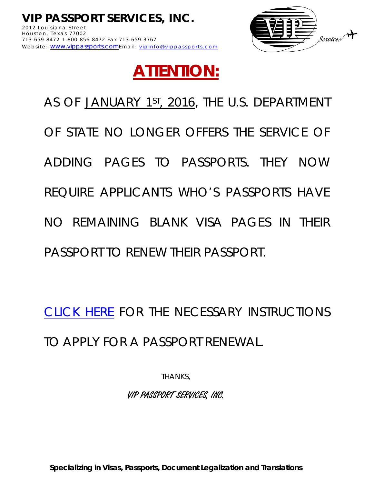

## **ATTENTION:**

AS OF JANUARY 1ST, 2016, THE U.S. DEPARTMENT OF STATE NO LONGER OFFERS THE SERVICE OF ADDING PAGES TO PASSPORTS. THEY NOW REQUIRE APPLICANTS WHO'S PASSPORTS HAVE NO REMAINING BLANK VISA PAGES IN THEIR PASSPORT TO RENEW THEIR PASSPORT.

[CLICK HERE](http://www.vippassports.com/DOWNLOADS/1PASSPORT-RENEWAL-(EMAIL_ONLY).pdf) FOR THE NECESSARY INSTRUCTIONS TO APPLY FOR A PASSPORT RENEWAL.

THANKS,

VIP PASSPORT SERVICES, INC.

**Specializing in Visas, Passports, Document Legalization and Translations**